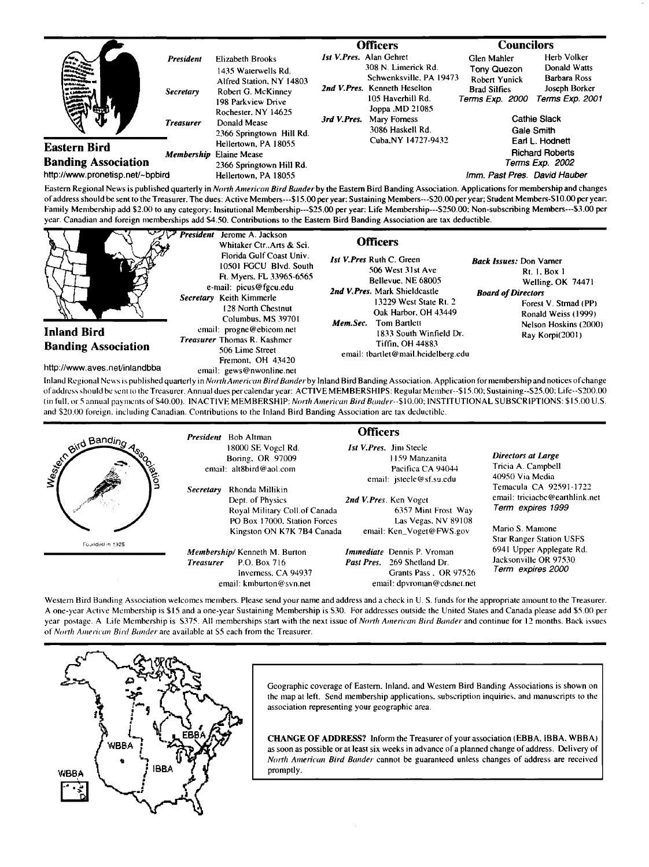|                                                   |                  |                                                                                                                                                                                                                                    |             | Officers                                                                                                                                                                           | Councilors                                                                                        |                                                                         |
|---------------------------------------------------|------------------|------------------------------------------------------------------------------------------------------------------------------------------------------------------------------------------------------------------------------------|-------------|------------------------------------------------------------------------------------------------------------------------------------------------------------------------------------|---------------------------------------------------------------------------------------------------|-------------------------------------------------------------------------|
|                                                   | <b>President</b> | <b>Elizabeth Brooks</b>                                                                                                                                                                                                            |             | <b>Ist V.Pres. Alan Gehret</b>                                                                                                                                                     | Glen Mahler                                                                                       | Herb Volker                                                             |
| di finisiana.<br>i bis sa                         | <i>Secretary</i> | 1435 Waterwells Rd.<br>Alfred Station, NY 14803<br>Robert G. McKinney<br>198 Parkview Drive<br>Rochester, NY 14625<br>Donald Mease<br>2366 Springtown Hill Rd.<br>Hellertown, PA 18055<br>Elaine Mease<br>2366 Springtown Hill Rd. | 3rd V.Pres. | 308 N. Limerick Rd.<br>Schwenksville, PA 19473<br>2nd V. Pres. Kenneth Heselton<br>105 Haverhill Rd.<br>Joppa , MD 21085<br>Mary Forness<br>3086 Haskell Rd.<br>Cuba.NY 14727-9432 | Tony Quezon<br><b>Robert Yunick</b><br><b>Brad Silfies</b><br>Terms Exp. 2000                     | Donald Watts<br><b>Barbara Ross</b><br>Joseph Borker<br>Terms Exp. 2001 |
|                                                   | <b>Treasurer</b> |                                                                                                                                                                                                                                    |             |                                                                                                                                                                                    | <b>Cathie Slack</b><br>Gale Smith<br>Earl L. Hodnett<br><b>Richard Roberts</b><br>Terms Exp. 2002 |                                                                         |
| <b>Eastern Bird</b><br><b>Banding Association</b> | Membership       |                                                                                                                                                                                                                                    |             |                                                                                                                                                                                    |                                                                                                   |                                                                         |
| http://www.pronetisp.net/~bpbird                  |                  | Hellertown, PA 18055                                                                                                                                                                                                               |             |                                                                                                                                                                                    | Imm. Past Pres. David Hauber                                                                      |                                                                         |

Eastern Regional News is published quarterly in *North American Bird Bander* by the Eastern Bird Banding Association. Applications for membership and changes of address should be sent to the Treasurer. The dues: Active Members---\$15.00 per year; Sustaining Members---S20.00 per year; Student Members-S10.00 per year; Family Membership add \$2.00 to any category: Insitutional Membership---\$25.00 per year: Life Membership---\$250.00; Non-subscribing Members---\$3.00 per **year. Canadian and foreign memberships add S4.50. Contributions to the Eastern Bird Banding Association are tax deductible.** 

|                                                                            | <b>President</b><br>Jerome A. Jackson<br>Whitaker Ctr., Arts & Sci.<br>Florida Gulf Coast Univ.<br>10501 FGCU Blvd. South<br>Ft. Myers. FL 33965-6565<br>e-mail: picus@fgcu.edu<br>Secretary Keith Kimmerle<br>128 North Chestnut<br>Columbus, MS 39701 | <b>Officers</b><br><b>Ist V.Pres Ruth C. Green</b><br>506 West 31st Ave<br>Bellevue, NE 68005<br>2nd V.Pres. Mark Shieldcastle<br>13229 West State Rt. 2<br>Oak Harbor, OH 43449 | <b>Back Issues:</b> Don Varner<br>Rt. 1, Box 1<br>Welling, OK 74471<br><b>Board of Directors</b><br>Forest V. Strnad (PP)<br>Ronald Weiss (1999) |
|----------------------------------------------------------------------------|---------------------------------------------------------------------------------------------------------------------------------------------------------------------------------------------------------------------------------------------------------|----------------------------------------------------------------------------------------------------------------------------------------------------------------------------------|--------------------------------------------------------------------------------------------------------------------------------------------------|
| Inland Bird<br><b>Banding Association</b><br>http://www.aves.net/inlandbba | email: progne@ebicom.net<br><b>Treasurer</b> Thomas R. Kashmer<br>506 Lime Street<br>Fremont. OH 43420<br>email: gews@nwonline.net                                                                                                                      | <b>Mem.Sec.</b> Tom Bartlett<br>1833 South Winfield Dr.<br><b>Tiffin. OH 44883</b><br>email: tbartlet@mail.heidelberg.edu                                                        | Nelson Hoskins (2000)<br>Ray Korpi(2001)                                                                                                         |

**Inland Regional Ncxvs is published quarterly in North A met'i•'a. Bird Be.der by Inland Bird Banding Association. Applicalion for nlembership and notices o fchange**  of address should be sent to the Treasurer. Annual dues per calendar year: ACTIVE MEMBERSHIPS: Regular Member--\$15.00; Sustaining--S25.00; Life--S200.00 (in full, or 5 annual payments of \$40.00). INACTIVE MEMBERSHIP: North American Bird Bander--\$10.00; INSTITUTIONAL SUBSCRIPTIONS: \$15.00 U.S. and \$20.00 foreign. including Canadian. Contributions to the Inland Bird Banding Association are tax deductible.

| and Banding<br>ا<br>آگ | <b>Secretary</b> | <b>President</b> Bob Altman<br>18000 SE Vogel Rd.<br>Boring, OR 97009<br>email: alt8bird@aol.com<br>Rhonda Millikin<br>Dept. of Physics<br>Royal Military Coll.of Canada<br>PO Box 17000. Station Forces<br>Kingston ON K7K 7B4 Canada | <b>Officers</b> | <b>Ist V. Pres.</b> Jim Steele<br>1159 Manzanita<br>Pacifica CA 94044<br>email: jsteele@sf.su.edu<br>2nd V.Pres. Ken Voget<br>6357 Mint Frost Way<br>Las Vegas, NV 89108<br>email: Ken_Voget@FWS.gov | <b>Directors at Large</b><br>Tricia A Campbell<br>40950 Via Media<br>Temacula CA 92591-1722<br>email: triciacbc@earthlink.net<br>Term expires 1999<br>Mario S. Mamone |
|------------------------|------------------|----------------------------------------------------------------------------------------------------------------------------------------------------------------------------------------------------------------------------------------|-----------------|------------------------------------------------------------------------------------------------------------------------------------------------------------------------------------------------------|-----------------------------------------------------------------------------------------------------------------------------------------------------------------------|
| Founded in 1925        | <b>Treasurer</b> | Membership/Kenneth M. Burton<br>P.O. Box 716<br>Inverness, CA 94937<br>email: $k$ mburton@syn.net                                                                                                                                      |                 | <i>Immediate</i> Dennis P. Vroman<br><b>Past Pres.</b> 269 Shetland Dr.<br>Grants Pass, OR 97526<br>email: dpvroman@cdsnet.net                                                                       | <b>Star Ranger Station USFS</b><br>6941 Upper Applegate Rd.<br>Jacksonville OR 97530<br>Term expires 2000                                                             |

Western Bird Banding Association welcomes members. Please send your name and address and a check in U.S. funds for the appropriate amount to the Treasurer. **A one-year Active Membership is \$15 and a one-year Sustaining Membership is S30. For addresses outside the United Slates and Canada please add \$5.00 per**  year postage. A Life Membership is \$375. All memberships start with the next issue of *North American Bird Bander* and continue for 12 months. Back issues of North American Bird Bander are available at S5 each from the Treasurer.



Geographic coverage of Eastern. Inland. and Western Bird Banding Associations is shown on **the map al left. Send membership applications. subscription inquiries. and manuscripts to the association representing your geographic area.** 

**CHANGE OF ADDRESS?** Inform the Treasurer of your association (EBBA. IBBA. WBBA) as soon as possible or at least six weeks in advance of a planned change of address. Delivery of North American Bird Bander cannot be guaranteed unless changes of address are received **promprly.**